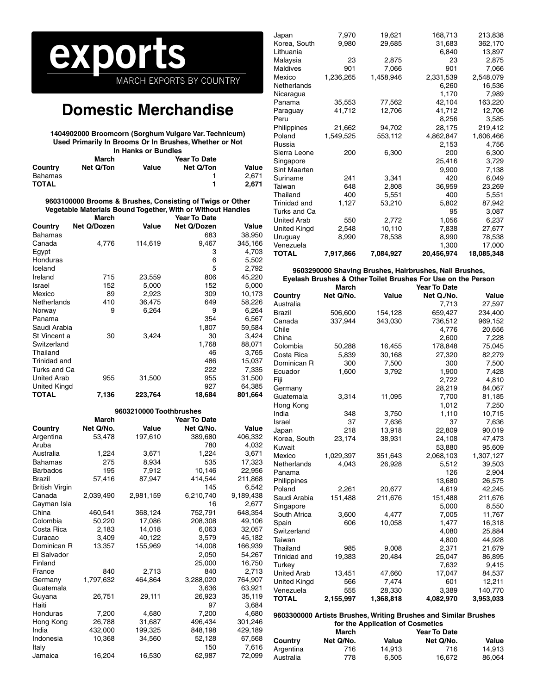# **por** MARCH EXPORTS BY COUNTRY

## **Domestic Merchandise**

**1404902000 Broomcorn (Sorghum Vulgare Var. Technicum) Used Primarily In Brooms Or In Brushes, Whether or Not In Hanks or Bundles**

|                |           | iii Hanno of Danaico |              |       |
|----------------|-----------|----------------------|--------------|-------|
|                | March     |                      | Year To Date |       |
| Country        | Net Q/Ton | Value                | Net Q/Ton    | Value |
| <b>Bahamas</b> |           |                      |              | 2.671 |
| <b>TOTAL</b>   |           |                      |              | 2.671 |

**9603100000 Brooms & Brushes, Consisting of Twigs or Other Vegetable Materials Bound Together, With or Without Handles**

|                    | March       |         | Year To Date |         |
|--------------------|-------------|---------|--------------|---------|
| Country            | Net Q/Dozen | Value   | Net Q/Dozen  | Value   |
| <b>Bahamas</b>     |             |         | 683          | 38,950  |
| Canada             | 4,776       | 114,619 | 9,467        | 345,166 |
| Egypt              |             |         | 3            | 4,703   |
| Honduras           |             |         | 6            | 5,502   |
| Iceland            |             |         | 5            | 2,792   |
| Ireland            | 715         | 23,559  | 806          | 45,220  |
| Israel             | 152         | 5,000   | 152          | 5,000   |
| Mexico             | 89          | 2,923   | 309          | 10,173  |
| Netherlands        | 410         | 36,475  | 649          | 58,226  |
| Norway             | 9           | 6,264   | 9            | 6,264   |
| Panama             |             |         | 354          | 6,567   |
| Saudi Arabia       |             |         | 1,807        | 59,584  |
| St Vincent a       | 30          | 3,424   | 30           | 3,424   |
| Switzerland        |             |         | 1,768        | 88,071  |
| Thailand           |             |         | 46           | 3,765   |
| Trinidad and       |             |         | 486          | 15,037  |
| Turks and Ca       |             |         | 222          | 7,335   |
| <b>United Arab</b> | 955         | 31,500  | 955          | 31,500  |
| United Kingd       |             |         | 927          | 64,385  |
| <b>TOTAL</b>       | 7,136       | 223,764 | 18,684       | 801,664 |

|                       |              | 9603210000 Toothbrushes |                     |           |
|-----------------------|--------------|-------------------------|---------------------|-----------|
|                       | <b>March</b> |                         | <b>Year To Date</b> |           |
| Country               | Net Q/No.    | Value                   | Net Q/No.           | Value     |
| Argentina             | 53,478       | 197,610                 | 389,680             | 406,332   |
| Aruba                 |              |                         | 780                 | 4,032     |
| Australia             | 1,224        | 3,671                   | 1,224               | 3,671     |
| <b>Bahamas</b>        | 275          | 8,934                   | 535                 | 17,323    |
| <b>Barbados</b>       | 195          | 7,912                   | 10,146              | 22,956    |
| <b>Brazil</b>         | 57,416       | 87,947                  | 414.544             | 211,868   |
| <b>British Virgin</b> |              |                         | 145                 | 6.542     |
| Canada                | 2,039,490    | 2,981,159               | 6,210,740           | 9,189,438 |
| Cayman Isla           |              |                         | 16                  | 2,677     |
| China                 | 460,541      | 368,124                 | 752,791             | 648,354   |
| Colombia              | 50,220       | 17,086                  | 208,308             | 49,106    |
| Costa Rica            | 2,183        | 14,018                  | 6,063               | 32,057    |
| Curacao               | 3,409        | 40,122                  | 3,579               | 45,182    |
| Dominican R           | 13,357       | 155,969                 | 14,008              | 166,939   |
| El Salvador           |              |                         | 2,050               | 54,267    |
| Finland               |              |                         | 25,000              | 16,750    |
| France                | 840          | 2,713                   | 840                 | 2,713     |
| Germany               | 1,797,632    | 464,864                 | 3,288,020           | 764,907   |
| Guatemala             |              |                         | 3,636               | 63,921    |
| Guyana                | 26,751       | 29,111                  | 26,923              | 35,119    |
| Haiti                 |              |                         | 97                  | 3,684     |
| Honduras              | 7,200        | 4,680                   | 7,200               | 4,680     |
| Hong Kong             | 26,788       | 31,687                  | 496,434             | 301,246   |
| India                 | 432,000      | 199,325                 | 848,198             | 429,189   |
| Indonesia             | 10,368       | 34,560                  | 52,128              | 67,568    |
| Italy                 |              |                         | 150                 | 7,616     |
| Jamaica               | 16,204       | 16,530                  | 62,987              | 72,099    |

| Japan              | 7,970     | 19,621    | 168,713    | 213,838    |
|--------------------|-----------|-----------|------------|------------|
| Korea, South       | 9,980     | 29,685    | 31,683     | 362,170    |
| Lithuania          |           |           | 6,840      | 13,897     |
| Malaysia           | 23        | 2,875     | 23         | 2,875      |
| <b>Maldives</b>    | 901       | 7,066     | 901        | 7,066      |
| Mexico             | 1,236,265 | 1,458,946 | 2,331,539  | 2,548,079  |
| Netherlands        |           |           | 6,260      | 16,536     |
| Nicaragua          |           |           | 1,170      | 7,989      |
| Panama             | 35,553    | 77,562    | 42,104     | 163,220    |
| Paraguay           | 41,712    | 12,706    | 41,712     | 12,706     |
| Peru               |           |           | 8,256      | 3,585      |
| Philippines        | 21,662    | 94,702    | 28,175     | 219,412    |
| Poland             | 1,549,525 | 553,112   | 4,862,847  | 1,606,466  |
| Russia             |           |           | 2,153      | 4,756      |
| Sierra Leone       | 200       | 6,300     | 200        | 6,300      |
| Singapore          |           |           | 25,416     | 3,729      |
| Sint Maarten       |           |           | 9,900      | 7,138      |
| Suriname           | 241       | 3,341     | 420        | 6,049      |
| Taiwan             | 648       | 2,808     | 36,959     | 23,269     |
| Thailand           | 400       | 5,551     | 400        | 5,551      |
| Trinidad and       | 1,127     | 53,210    | 5,802      | 87,942     |
| Turks and Ca       |           |           | 95         | 3,087      |
| <b>United Arab</b> | 550       | 2,772     | 1,056      | 6,237      |
| United Kingd       | 2,548     | 10,110    | 7,838      | 27,677     |
| Uruguay            | 8,990     | 78,538    | 8,990      | 78,538     |
| Venezuela          |           |           | 1,300      | 17,000     |
| TOTAL              | 7,917,866 | 7,084,927 | 20,456,974 | 18,085,348 |

#### **9603290000 Shaving Brushes, Hairbrushes, Nail Brushes, Eyelash Brushes & Other Toilet Brushes For Use on the Person**

|                     | March     |           | <b>Year To Date</b> |           |
|---------------------|-----------|-----------|---------------------|-----------|
| Country             | Net Q/No. | Value     | Net Q./No.          | Value     |
| Australia           |           |           | 7,713               | 27,597    |
| Brazil              | 506,600   | 154,128   | 659,427             | 234,400   |
| Canada              | 337,944   | 343,030   | 736,512             | 969,152   |
| Chile               |           |           | 4,776               | 20,656    |
| China               |           |           | 2,600               | 7,228     |
| Colombia            | 50,288    | 16,455    | 178,848             | 75,045    |
| Costa Rica          | 5,839     | 30,168    | 27,320              | 82,279    |
| Dominican R         | 300       | 7,500     | 300                 | 7,500     |
| Ecuador             | 1,600     | 3,792     | 1,900               | 7,428     |
| Fiji                |           |           | 2,722               | 4,810     |
| Germany             |           |           | 28,219              | 84,067    |
| Guatemala           | 3,314     | 11,095    | 7,700               | 81,185    |
| Hong Kong           |           |           | 1,012               | 7,250     |
| India               | 348       | 3,750     | 1,110               | 10,715    |
| Israel              | 37        | 7,636     | 37                  | 7,636     |
| Japan               | 218       | 13,918    | 22,809              | 90,019    |
| Korea, South        | 23,174    | 38,931    | 24,108              | 47,473    |
| Kuwait              |           |           | 53,880              | 95,609    |
| Mexico              | 1,029,397 | 351,643   | 2,068,103           | 1,307,127 |
| Netherlands         | 4,043     | 26,928    | 5,512               | 39,503    |
| Panama              |           |           | 126                 | 2,904     |
| Philippines         |           |           | 13,680              | 26,575    |
| Poland              | 2,261     | 20,677    | 4,619               | 42,245    |
| Saudi Arabia        | 151,488   | 211,676   | 151,488             | 211,676   |
| Singapore           |           |           | 5,000               | 8,550     |
| South Africa        | 3,600     | 4,477     | 7,005               | 11,767    |
| Spain               | 606       | 10,058    | 1,477               | 16,318    |
| Switzerland         |           |           | 4,080               | 25,884    |
| Taiwan              |           |           | 4,800               | 44,928    |
| Thailand            | 985       | 9,008     | 2,371               | 21,679    |
| Trinidad and        | 19,383    | 20,484    | 25,047              | 86,895    |
| Turkey              |           |           | 7,632               | 9,415     |
| <b>United Arab</b>  | 13,451    | 47,660    | 17,047              | 84,537    |
| <b>United Kingd</b> | 566       | 7,474     | 601                 | 12,211    |
| Venezuela           | 555       | 28,330    | 3,389               | 140,770   |
| <b>TOTAL</b>        | 2,155,997 | 1,368,818 | 4,082,970           | 3,953,033 |

#### **9603300000 Artists Brushes, Writing Brushes and Similar Brushes for the Application of Cosmetics**

|           | March     |        | <b>Year To Date</b> |        |  |  |
|-----------|-----------|--------|---------------------|--------|--|--|
| Country   | Net Q/No. | Value  | Net Q/No.           | Value  |  |  |
| Argentina | 716       | 14.913 | 716                 | 14.913 |  |  |
| Australia | 778       | 6.505  | 16.672              | 86.064 |  |  |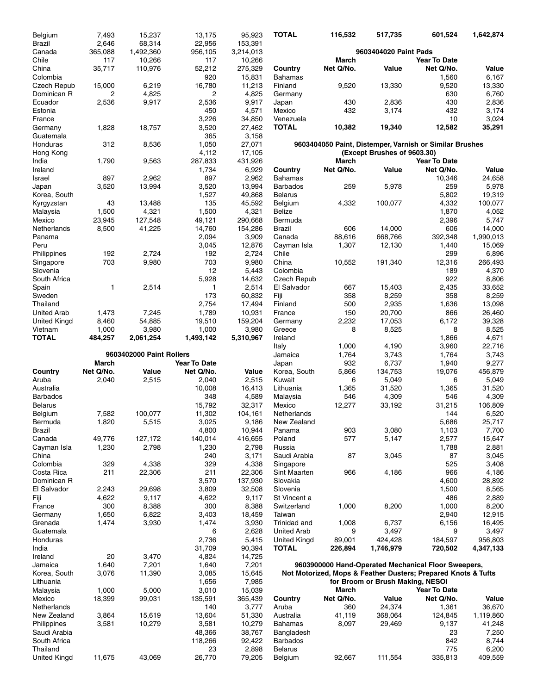| Belgium                  | 7,493              | 15,237                   | 13,175              | 95,923            | <b>TOTAL</b>                      | 116,532    | 517,735                          | 601,524                                                       | 1,642,874        |
|--------------------------|--------------------|--------------------------|---------------------|-------------------|-----------------------------------|------------|----------------------------------|---------------------------------------------------------------|------------------|
| <b>Brazil</b>            | 2,646              | 68,314                   | 22,956              | 153,391           |                                   |            |                                  |                                                               |                  |
| Canada                   | 365,088            | 1,492,360                | 956,105             | 3,214,013         |                                   |            | 9603404020 Paint Pads            |                                                               |                  |
| Chile<br>China           | 117                | 10,266                   | 117                 | 10,266            |                                   | March      |                                  | <b>Year To Date</b>                                           |                  |
| Colombia                 | 35,717             | 110,976                  | 52,212<br>920       | 275,329<br>15,831 | Country<br><b>Bahamas</b>         | Net Q/No.  | Value                            | Net Q/No.<br>1,560                                            | Value<br>6,167   |
| Czech Repub              | 15,000             | 6,219                    | 16,780              | 11,213            | Finland                           | 9,520      | 13,330                           | 9,520                                                         | 13,330           |
| Dominican R              | 2                  | 4,825                    | $\overline{c}$      | 4,825             | Germany                           |            |                                  | 630                                                           | 6,760            |
| Ecuador                  | 2,536              | 9,917                    | 2,536               | 9,917             | Japan                             | 430        | 2,836                            | 430                                                           | 2,836            |
| Estonia                  |                    |                          | 450                 | 4,571             | Mexico                            | 432        | 3,174                            | 432                                                           | 3,174            |
| France                   |                    |                          | 3,226               | 34,850            | Venezuela                         |            |                                  | 10                                                            | 3,024            |
| Germany                  | 1,828              | 18,757                   | 3,520               | 27,462            | <b>TOTAL</b>                      | 10,382     | 19,340                           | 12,582                                                        | 35,291           |
| Guatemala<br>Honduras    | 312                | 8,536                    | 365<br>1,050        | 3,158<br>27,071   |                                   |            |                                  | 9603404050 Paint, Distemper, Varnish or Similar Brushes       |                  |
| Hong Kong                |                    |                          | 4,112               | 17,105            |                                   |            | (Except Brushes of 9603.30)      |                                                               |                  |
| India                    | 1,790              | 9,563                    | 287,833             | 431,926           |                                   | March      |                                  | <b>Year To Date</b>                                           |                  |
| Ireland                  |                    |                          | 1,734               | 6,929             | Country                           | Net Q/No.  | Value                            | Net Q/No.                                                     | Value            |
| Israel                   | 897                | 2,962                    | 897                 | 2,962             | Bahamas                           |            |                                  | 10,346                                                        | 24,658           |
| Japan                    | 3,520              | 13,994                   | 3,520               | 13,994            | <b>Barbados</b>                   | 259        | 5,978                            | 259                                                           | 5,978            |
| Korea, South             |                    |                          | 1,527               | 49,868            | <b>Belarus</b>                    |            |                                  | 5,802                                                         | 19,319           |
| Kyrgyzstan<br>Malaysia   | 43<br>1,500        | 13,488<br>4,321          | 135<br>1,500        | 45,592<br>4,321   | Belgium<br><b>Belize</b>          | 4,332      | 100.077                          | 4,332<br>1,870                                                | 100,077<br>4,052 |
| Mexico                   | 23,945             | 127,548                  | 49,121              | 290,668           | Bermuda                           |            |                                  | 2,396                                                         | 5,747            |
| Netherlands              | 8,500              | 41,225                   | 14,760              | 154,286           | <b>Brazil</b>                     | 606        | 14,000                           | 606                                                           | 14,000           |
| Panama                   |                    |                          | 2,094               | 3,909             | Canada                            | 88,616     | 668,766                          | 392,348                                                       | 1,990,013        |
| Peru                     |                    |                          | 3,045               | 12,876            | Cayman Isla                       | 1,307      | 12,130                           | 1,440                                                         | 15,069           |
| Philippines              | 192                | 2,724                    | 192                 | 2,724             | Chile                             |            |                                  | 299                                                           | 6,896            |
| Singapore                | 703                | 9,980                    | 703                 | 9,980             | China                             | 10,552     | 191,340                          | 12,316                                                        | 266,493          |
| Slovenia                 |                    |                          | 12                  | 5,443             | Colombia                          |            |                                  | 189                                                           | 4,370            |
| South Africa<br>Spain    | 1                  | 2,514                    | 5,928<br>1          | 14,632<br>2,514   | Czech Repub<br>El Salvador        | 667        | 15,403                           | 922<br>2,435                                                  | 8,806<br>33,652  |
| Sweden                   |                    |                          | 173                 | 60,832            | Fiji                              | 358        | 8,259                            | 358                                                           | 8,259            |
| Thailand                 |                    |                          | 2,754               | 17,494            | Finland                           | 500        | 2,935                            | 1,636                                                         | 13,098           |
| United Arab              | 1,473              | 7,245                    | 1,789               | 10,931            | France                            | 150        | 20,700                           | 866                                                           | 26,460           |
| United Kingd             | 8,460              | 54,885                   | 19,510              | 159,204           | Germany                           | 2,232      | 17,053                           | 6,172                                                         | 39,328           |
| Vietnam                  | 1,000              | 3,980                    | 1,000               | 3,980             | Greece                            | 8          | 8,525                            | 8                                                             | 8,525            |
| <b>TOTAL</b>             | 484,257            | 2,061,254                | 1,493,142           | 5,310,967         | Ireland                           |            |                                  | 1,866                                                         | 4,671            |
|                          |                    |                          |                     |                   | Italy                             | 1,000      | 4,190                            | 3,960                                                         | 22,716           |
|                          |                    |                          |                     |                   |                                   |            |                                  |                                                               |                  |
|                          |                    | 9603402000 Paint Rollers |                     |                   | Jamaica                           | 1,764      | 3,743                            | 1,764                                                         | 3,743            |
|                          | March              |                          | <b>Year To Date</b> |                   | Japan                             | 932        | 6,737                            | 1,940                                                         | 9,277            |
| Country<br>Aruba         | Net Q/No.<br>2,040 | Value<br>2,515           | Net Q/No.<br>2,040  | Value<br>2,515    | Korea, South<br>Kuwait            | 5,866<br>6 | 134,753<br>5,049                 | 19,076<br>6                                                   | 456,879<br>5,049 |
| Australia                |                    |                          | 10,008              | 16,413            | Lithuania                         | 1,365      | 31,520                           | 1,365                                                         | 31,520           |
| <b>Barbados</b>          |                    |                          | 348                 | 4,589             | Malaysia                          | 546        | 4,309                            | 546                                                           | 4,309            |
| <b>Belarus</b>           |                    |                          | 15,792              | 32,317            | Mexico                            | 12,277     | 33,192                           | 31,215                                                        | 106.809          |
| Belgium                  | 7,582              | 100,077                  | 11,302              | 104,161           | Netherlands                       |            |                                  | 144                                                           | 6,520            |
| Bermuda                  | 1,820              | 5,515                    | 3,025               | 9,186             | New Zealand                       |            |                                  | 5,686                                                         | 25,717           |
| Brazil                   |                    |                          | 4,800               | 10,944            | Panama                            | 903        | 3,080                            | 1,103                                                         | 7,700            |
| Canada<br>Cayman Isla    | 49,776             | 127,172                  | 140,014             | 416,655           | Poland<br>Russia                  | 577        | 5,147                            | 2,577                                                         | 15,647           |
| China                    | 1,230              | 2,798                    | 1,230<br>240        | 2,798<br>3,171    | Saudi Arabia                      | 87         | 3,045                            | 1,788<br>87                                                   | 2,881<br>3,045   |
| Colombia                 | 329                | 4,338                    | 329                 | 4,338             | Singapore                         |            |                                  | 525                                                           | 3,408            |
| Costa Rica               | 211                | 22,306                   | 211                 | 22,306            | Sint Maarten                      | 966        | 4,186                            | 966                                                           | 4,186            |
| Dominican R              |                    |                          | 3,570               | 137,930           | Slovakia                          |            |                                  | 4,600                                                         | 28,892           |
| El Salvador              | 2,243              | 29,698                   | 3,809               | 32,508            | Slovenia                          |            |                                  | 1,500                                                         | 8,565            |
| Fiji                     | 4,622              | 9,117                    | 4,622               | 9,117             | St Vincent a                      |            |                                  | 486                                                           | 2,889            |
| France                   | 300                | 8,388                    | 300                 | 8,388             | Switzerland                       | 1,000      | 8,200                            | 1,000                                                         | 8,200            |
| Germany<br>Grenada       | 1,650<br>1,474     | 6,822<br>3,930           | 3,403<br>1,474      | 18,459            | Taiwan<br>Trinidad and            | 1,008      | 6,737                            | 2,940<br>6,156                                                | 12,915           |
| Guatemala                |                    |                          | 6                   | 3,930<br>2,628    | <b>United Arab</b>                | 9          | 3,497                            | 9                                                             | 16,495<br>3,497  |
| Honduras                 |                    |                          | 2,736               | 5,415             | <b>United Kingd</b>               | 89,001     | 424,428                          | 184,597                                                       | 956,803          |
| India                    |                    |                          | 31,709              | 90,394            | TOTAL                             | 226,894    | 1,746,979                        | 720,502                                                       | 4,347,133        |
| Ireland                  | 20                 | 3,470                    | 4,824               | 14,725            |                                   |            |                                  |                                                               |                  |
| Jamaica                  | 1,640              | 7,201                    | 1,640               | 7,201             |                                   |            |                                  | 9603900000 Hand-Operated Mechanical Floor Sweepers,           |                  |
| Korea, South             | 3,076              | 11,390                   | 3,085               | 15,645            |                                   |            |                                  | Not Motorized, Mops & Feather Dusters; Prepared Knots & Tufts |                  |
| Lithuania<br>Malaysia    | 1,000              | 5,000                    | 1,656               | 7,985<br>15,039   |                                   | March      | for Broom or Brush Making, NESOI | <b>Year To Date</b>                                           |                  |
| Mexico                   | 18,399             | 99,031                   | 3,010<br>135,591    | 365,439           | Country                           | Net Q/No.  | Value                            | Net Q/No.                                                     | Value            |
| Netherlands              |                    |                          | 140                 | 3,777             | Aruba                             | 360        | 24,374                           | 1,361                                                         | 36,670           |
| New Zealand              | 3,864              | 15,619                   | 13,604              | 51,330            | Australia                         | 41,119     | 368,064                          | 124,845                                                       | 1,119,860        |
| Philippines              | 3,581              | 10,279                   | 3,581               | 10,279            | Bahamas                           | 8,097      | 29,469                           | 9,137                                                         | 41,248           |
| Saudi Arabia             |                    |                          | 48,366              | 38,767            | Bangladesh                        |            |                                  | 23                                                            | 7,250            |
| South Africa<br>Thailand |                    |                          | 118,266<br>23       | 92,422<br>2,898   | <b>Barbados</b><br><b>Belarus</b> |            |                                  | 842<br>775                                                    | 8,744<br>6,200   |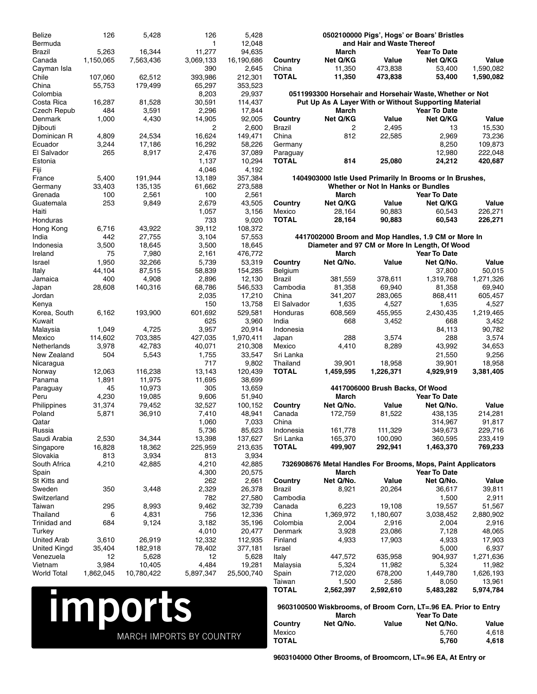| <b>Belize</b><br>Bermuda  | 126          | 5,428            | 126<br>$\mathbf{1}$ | 5,428<br>12,048   |                    |                    | and Hair and Waste Thereof         | 0502100000 Pigs', Hogs' or Boars' Bristles                                                                        |                    |
|---------------------------|--------------|------------------|---------------------|-------------------|--------------------|--------------------|------------------------------------|-------------------------------------------------------------------------------------------------------------------|--------------------|
| Brazil                    | 5,263        | 16,344           | 11,277              | 94,635            |                    | March              |                                    | <b>Year To Date</b>                                                                                               |                    |
| Canada                    | 1,150,065    | 7,563,436        | 3,069,133           | 16,190,686        | Country            | Net Q/KG           | Value                              | Net Q/KG                                                                                                          | Value              |
| Cayman Isla               |              |                  | 390                 | 2,645             | China              | 11,350             | 473,838                            | 53,400                                                                                                            | 1,590,082          |
| Chile                     | 107,060      | 62.512           | 393,986             | 212,301           | <b>TOTAL</b>       | 11,350             | 473,838                            | 53,400                                                                                                            | 1,590,082          |
| China                     | 55,753       | 179,499          | 65,297              | 353,523           |                    |                    |                                    |                                                                                                                   |                    |
| Colombia<br>Costa Rica    | 16,287       | 81,528           | 8,203<br>30,591     | 29,937<br>114,437 |                    |                    |                                    | 0511993300 Horsehair and Horsehair Waste, Whether or Not<br>Put Up As A Layer With or Without Supporting Material |                    |
| Czech Repub               | 484          | 3,591            | 2,296               | 17,844            |                    | <b>March</b>       |                                    | <b>Year To Date</b>                                                                                               |                    |
| Denmark                   | 1,000        | 4,430            | 14,905              | 92,005            | Country            | Net Q/KG           | Value                              | Net Q/KG                                                                                                          | Value              |
| Djibouti                  |              |                  | 2                   | 2,600             | Brazil             | 2                  | 2,495                              | 13                                                                                                                | 15,530             |
| Dominican R               | 4,809        | 24,534           | 16,624              | 149,471           | China              | 812                | 22,585                             | 2,969                                                                                                             | 73,236             |
| Ecuador                   | 3,244        | 17,186           | 16,292              | 58,226            | Germany            |                    |                                    | 8,250                                                                                                             | 109,873            |
| El Salvador               | 265          | 8,917            | 2,476               | 37,089            | Paraguay           |                    |                                    | 12,980                                                                                                            | 222,048            |
| Estonia                   |              |                  | 1,137<br>4,046      | 10,294<br>4,192   | <b>TOTAL</b>       | 814                | 25,080                             | 24,212                                                                                                            | 420,687            |
| Fiji<br>France            | 5,400        | 191,944          | 13,189              | 357,384           |                    |                    |                                    | 1404903000 Istle Used Primarily In Brooms or In Brushes,                                                          |                    |
| Germany                   | 33,403       | 135,135          | 61,662              | 273,588           |                    |                    | Whether or Not In Hanks or Bundles |                                                                                                                   |                    |
| Grenada                   | 100          | 2,561            | 100                 | 2,561             |                    | March              |                                    | <b>Year To Date</b>                                                                                               |                    |
| Guatemala                 | 253          | 9,849            | 2,679               | 43,505            | Country            | Net Q/KG           | Value                              | Net Q/KG                                                                                                          | Value              |
| Haiti                     |              |                  | 1,057               | 3,156             | Mexico             | 28,164             | 90,883                             | 60.543                                                                                                            | 226,271            |
| Honduras                  |              |                  | 733                 | 9,020             | <b>TOTAL</b>       | 28,164             | 90,883                             | 60,543                                                                                                            | 226,271            |
| Hong Kong                 | 6,716        | 43,922           | 39,112              | 108,372           |                    |                    |                                    |                                                                                                                   |                    |
| India                     | 442          | 27,755           | 3,104               | 57,553            |                    |                    |                                    | 4417002000 Broom and Mop Handles, 1.9 CM or More In                                                               |                    |
| Indonesia<br>Ireland      | 3,500<br>75  | 18,645<br>7,980  | 3,500<br>2,161      | 18,645<br>476,772 |                    | <b>March</b>       |                                    | Diameter and 97 CM or More In Length, Of Wood<br><b>Year To Date</b>                                              |                    |
| Israel                    | 1,950        | 32,266           | 5,739               | 53,319            | Country            | Net Q/No.          | Value                              | Net Q/No.                                                                                                         | Value              |
| Italy                     | 44,104       | 87,515           | 58,839              | 154,285           | Belgium            |                    |                                    | 37,800                                                                                                            | 50,015             |
| Jamaica                   | 400          | 4,908            | 2,896               | 12,130            | Brazil             | 381,559            | 378,611                            | 1,319,768                                                                                                         | 1,271,326          |
| Japan                     | 28,608       | 140,316          | 68,786              | 546,533           | Cambodia           | 81,358             | 69,940                             | 81,358                                                                                                            | 69,940             |
| Jordan                    |              |                  | 2,035               | 17,210            | China              | 341,207            | 283,065                            | 868,411                                                                                                           | 605,457            |
| Kenya                     |              |                  | 150                 | 13,758            | El Salvador        | 1,635              | 4,527                              | 1,635                                                                                                             | 4,527              |
| Korea, South              | 6,162        | 193,900          | 601,692             | 529,581           | Honduras           | 608,569            | 455,955                            | 2,430,435                                                                                                         | 1,219,465          |
| Kuwait<br>Malaysia        | 1,049        | 4,725            | 625<br>3,957        | 3,960<br>20,914   | India<br>Indonesia | 668                | 3,452                              | 668<br>84,113                                                                                                     | 3,452<br>90,782    |
| Mexico                    | 114,602      | 703,385          | 427,035             | 1,970,411         | Japan              | 288                | 3,574                              | 288                                                                                                               | 3,574              |
| Netherlands               | 3,978        | 42,783           | 40,071              | 210,308           | Mexico             | 4,410              | 8,289                              | 43,992                                                                                                            | 34,653             |
| New Zealand               | 504          | 5,543            | 1,755               | 33,547            | Sri Lanka          |                    |                                    | 21,550                                                                                                            | 9,256              |
| Nicaragua                 |              |                  | 717                 | 9,802             | Thailand           | 39,901             | 18,958                             | 39,901                                                                                                            | 18,958             |
| Norway                    | 12,063       | 116,238          | 13,143              | 120,439           | <b>TOTAL</b>       | 1,459,595          | 1,226,371                          | 4,929,919                                                                                                         | 3,381,405          |
| Panama                    | 1,891        | 11,975           | 11,695              | 38,699            |                    |                    |                                    |                                                                                                                   |                    |
| Paraguay<br>Peru          | 45<br>4,230  | 10,973<br>19,085 | 305<br>9,606        | 13,659            |                    | <b>March</b>       | 4417006000 Brush Backs, Of Wood    | <b>Year To Date</b>                                                                                               |                    |
| Philippines               | 31,374       | 79,452           | 32,527              | 51,940<br>100,152 | Country            | Net Q/No.          | Value                              | Net Q/No.                                                                                                         | Value              |
| Poland                    | 5,871        | 36,910           | 7,410               | 48,941            | Canada             | 172,759            | 81,522                             | 438,135                                                                                                           | 214,281            |
| Qatar                     |              |                  | 1,060               | 7,033             | China              |                    |                                    | 314,967                                                                                                           | 91,817             |
| Russia                    |              |                  | 5,736               | 85,623            | Indonesia          | 161,778            | 111,329                            | 349,673                                                                                                           | 229,716            |
| Saudi Arabia              | 2,530        | 34,344           | 13,398              | 137,627           | Sri Lanka          | 165,370            | 100,090                            | 360,595                                                                                                           | 233,419            |
| Singapore                 | 16,828       | 18,362           | 225,959             | 213,635           | <b>TOTAL</b>       | 499,907            | 292,941                            | 1,463,370                                                                                                         | 769,233            |
| Slovakia                  | 813          | 3,934            | 813                 | 3,934             |                    |                    |                                    |                                                                                                                   |                    |
| South Africa              | 4,210        | 42,885           | 4,210               | 42,885            |                    |                    |                                    | 7326908676 Metal Handles For Brooms, Mops, Paint Applicators                                                      |                    |
| Spain<br>St Kitts and     |              |                  | 4,300<br>262        | 20,575<br>2,661   | Country            | March<br>Net Q/No. | Value                              | <b>Year To Date</b><br>Net Q/No.                                                                                  | Value              |
| Sweden                    | 350          | 3,448            | 2,329               | 26,378            | <b>Brazil</b>      | 8,921              | 20,264                             | 36,617                                                                                                            | 39,811             |
| Switzerland               |              |                  | 782                 | 27,580            | Cambodia           |                    |                                    | 1,500                                                                                                             | 2,911              |
| Taiwan                    | 295          | 8,993            | 9,462               | 32,739            | Canada             | 6,223              | 19,108                             | 19,557                                                                                                            | 51,567             |
| Thailand                  | 6            | 4,831            | 756                 | 12,336            | China              | 1,369,972          | 1,180,607                          | 3,038,452                                                                                                         | 2,880,902          |
| Trinidad and              | 684          | 9,124            | 3,182               | 35,196            | Colombia           | 2,004              | 2,916                              | 2,004                                                                                                             | 2,916              |
| Turkey                    |              |                  | 4,010               | 20,477            | Denmark            | 3,928              | 23,086                             | 7,128                                                                                                             | 48,065             |
| <b>United Arab</b>        | 3,610        | 26,919           | 12,332              | 112,935           | Finland            | 4,933              | 17,903                             | 4,933                                                                                                             | 17,903             |
| United Kingd<br>Venezuela | 35,404<br>12 | 182,918<br>5,628 | 78,402<br>12        | 377,181<br>5,628  | Israel<br>Italy    | 447,572            | 635,958                            | 5,000<br>904,937                                                                                                  | 6,937<br>1,271,636 |
| Vietnam                   | 3,984        | 10,405           | 4,484               | 19,281            | Malaysia           | 5,324              | 11,982                             | 5,324                                                                                                             | 11,982             |
| <b>World Total</b>        | 1,862,045    | 10,780,422       | 5,897,347           | 25,500,740        | Spain              | 712,020            | 678,200                            | 1,449,780                                                                                                         | 1,626,193          |
|                           |              |                  |                     |                   | Taiwan             | 1,500              | 2,586                              | 8,050                                                                                                             | 13,961             |
|                           |              |                  |                     |                   | <b>TOTAL</b>       | 2,562,397          | 2,592,610                          | 5,483,282                                                                                                         | 5,974,784          |
|                           |              |                  |                     |                   |                    |                    |                                    |                                                                                                                   |                    |
|                           |              | <b>Imports</b>   |                     |                   |                    | March              |                                    | 9603100500 Wiskbrooms, of Broom Corn, LT=.96 EA. Prior to Entry<br><b>Year To Date</b>                            |                    |
|                           |              |                  |                     |                   | Country            | Net Q/No.          | Value                              | Net Q/No.                                                                                                         | Value              |
|                           |              |                  |                     |                   |                    |                    |                                    | $E = 700$                                                                                                         | 0.010              |

**9603100500 Wiskbrooms, of Broom Corn, LT=.96 EA. Prior to Entry March Year To Date**<br>Country Net Q/No. Value Net Q/No. **Country Net Q/No. Value Net Q/No. Value** Mexico 5,760 4,618 **TOTAL 5,760 4,618**

**9603104000 Other Brooms, of Broomcorn, LT=.96 EA, At Entry or**

MARCH IMPORTS BY COUNTRY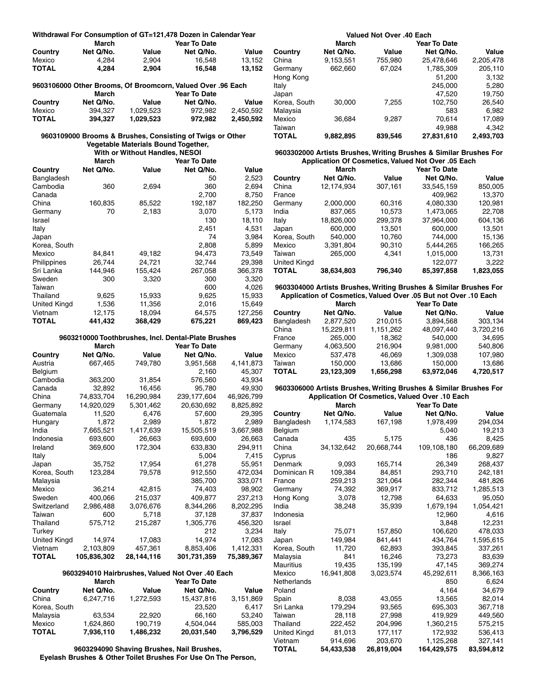|                     | <b>March</b> |                                     | Withdrawal For Consumption of GT=121,478 Dozen in Calendar Year<br><b>Year To Date</b> |           |
|---------------------|--------------|-------------------------------------|----------------------------------------------------------------------------------------|-----------|
| Country             | Net Q/No.    | Value                               | Net Q/No.                                                                              | Value     |
| Mexico              | 4,284        | 2,904                               | 16,548                                                                                 | 13,152    |
| <b>TOTAL</b>        | 4,284        | 2,904                               | 16,548                                                                                 | 13,152    |
|                     |              |                                     | 9603106000 Other Brooms, Of Broomcorn, Valued Over .96 Each                            |           |
|                     | <b>March</b> |                                     | <b>Year To Date</b>                                                                    |           |
| Country             | Net Q/No.    | Value                               | Net Q/No.                                                                              | Value     |
| Mexico              | 394,327      | 1,029,523                           | 972,982                                                                                | 2,450,592 |
| <b>TOTAL</b>        | 394,327      | 1,029,523                           | 972,982                                                                                | 2,450,592 |
|                     |              |                                     | 9603109000 Brooms & Brushes, Consisting of Twigs or Other                              |           |
|                     |              | Vegetable Materials Bound Together, |                                                                                        |           |
|                     |              | With or Without Handles, NESOI      |                                                                                        |           |
|                     | <b>March</b> |                                     | <b>Year To Date</b>                                                                    |           |
| Country             | Net Q/No.    | Value                               | Net Q/No.                                                                              | Value     |
| Bangladesh          |              |                                     | 50                                                                                     | 2,523     |
| Cambodia            | 360          | 2,694                               | 360                                                                                    | 2,694     |
| Canada              |              |                                     | 2,700                                                                                  | 8,750     |
| China               | 160,835      | 85,522                              | 192,187                                                                                | 182,250   |
| Germany             | 70           | 2,183                               | 3,070                                                                                  | 5,173     |
| Israel              |              |                                     | 130                                                                                    | 18,110    |
| Italy               |              |                                     | 2,451                                                                                  | 4,531     |
| Japan               |              |                                     | 74                                                                                     | 3,984     |
| Korea, South        |              |                                     | 2,808                                                                                  | 5,899     |
| Mexico              | 84,841       | 49,182                              | 94,473                                                                                 | 73,549    |
| Philippines         | 26,744       | 24,721                              | 32,744                                                                                 | 29,398    |
| Sri Lanka           | 144.946      | 155,424                             | 267.058                                                                                | 366,378   |
| Sweden              | 300          | 3,320                               | 300                                                                                    | 3,320     |
| Taiwan              |              |                                     | 600                                                                                    | 4,026     |
| Thailand            | 9,625        | 15,933                              | 9,625                                                                                  | 15,933    |
| <b>United Kingd</b> | 1,536        | 11,356                              | 2,016                                                                                  | 15,649    |
| Vietnam             | 12,175       | 18,094                              | 64,575                                                                                 | 127,256   |
| <b>TOTAL</b>        | 441.432      | 368.429                             | 675.221                                                                                | 869,423   |

#### **9603210000 Toothbrushes, Incl. Dental-Plate Brushes**

|                     | <b>March</b> |            | <b>Year To Date</b> |            |
|---------------------|--------------|------------|---------------------|------------|
| Country             | Net Q/No.    | Value      | Net Q/No.           | Value      |
| Austria             | 667,465      | 749,780    | 3,951,568           | 4,141,873  |
| Belgium             |              |            | 2,160               | 45.307     |
| Cambodia            | 363,200      | 31,854     | 576,560             | 43,934     |
| Canada              | 32,892       | 16,456     | 95,780              | 49,930     |
| China               | 74,833,704   | 16,290,984 | 239,177,604         | 46,926,799 |
| Germany             | 14,920,029   | 5,301,462  | 20,630,692          | 8,825,892  |
| Guatemala           | 11,520       | 6,476      | 57,600              | 29,395     |
| Hungary             | 1,872        | 2,989      | 1.872               | 2,989      |
| India               | 7,665,521    | 1,417,639  | 15,505,519          | 3,667,988  |
| Indonesia           | 693,600      | 26.663     | 693,600             | 26.663     |
| Ireland             | 369,600      | 172,304    | 633,830             | 294,911    |
| Italy               |              |            | 5,004               | 7,415      |
| Japan               | 35,752       | 17,954     | 61,278              | 55,951     |
| Korea, South        | 123,284      | 79,578     | 912,550             | 472,034    |
| Malaysia            |              |            | 385,700             | 333,071    |
| Mexico              | 36,214       | 42,815     | 74.403              | 98,902     |
| Sweden              | 400.066      | 215,037    | 409.877             | 237,213    |
| Switzerland         | 2,986,488    | 3,076,676  | 8,344,266           | 8,202,295  |
| Taiwan              | 600          | 5,718      | 37,128              | 37,837     |
| Thailand            | 575,712      | 215,287    | 1,305,776           | 456,320    |
| Turkey              |              |            | 212                 | 3,234      |
| <b>United Kingd</b> | 14,974       | 17,083     | 14,974              | 17,083     |
| Vietnam             | 2,103,809    | 457.361    | 8,853,406           | 1,412,331  |
| TOTAL               | 105,836,302  | 28,144,116 | 301,731,359         | 75,389,367 |

#### **9603294010 Hairbrushes, Valued Not Over .40 Each**

|              | March     |           | <b>Year To Date</b> |           |  |
|--------------|-----------|-----------|---------------------|-----------|--|
| Country      | Net Q/No. | Value     | Net Q/No.           | Value     |  |
| China        | 6.247.716 | 1.272.593 | 15,437,816          | 3.151.869 |  |
| Korea, South |           |           | 23.520              | 6.417     |  |
| Malaysia     | 63.534    | 22.920    | 66.160              | 53.240    |  |
| Mexico       | 1.624.860 | 190.719   | 4.504.044           | 585.003   |  |
| <b>TOTAL</b> | 7,936,110 | 1,486,232 | 20,031,540          | 3,796,529 |  |

**9603294090 Shaving Brushes, Nail Brushes, Eyelash Brushes & Other Toilet Brushes For Use On The Person,**

| Valued Not Over .40 Each |           |         |                     |           |  |  |
|--------------------------|-----------|---------|---------------------|-----------|--|--|
|                          | March     |         | <b>Year To Date</b> |           |  |  |
| Country                  | Net Q/No. | Value   | Net Q/No.           | Value     |  |  |
| China                    | 9,153,551 | 755,980 | 25.478.646          | 2,205,478 |  |  |
| Germany                  | 662,660   | 67,024  | 1,785,309           | 205,110   |  |  |
| Hong Kong                |           |         | 51,200              | 3,132     |  |  |
| Italy                    |           |         | 245,000             | 5,280     |  |  |
| Japan                    |           |         | 47,520              | 19,750    |  |  |
| Korea, South             | 30.000    | 7,255   | 102,750             | 26,540    |  |  |
| Malaysia                 |           |         | 583                 | 6,982     |  |  |
| Mexico                   | 36,684    | 9,287   | 70,614              | 17,089    |  |  |
| Taiwan                   |           |         | 49,988              | 4,342     |  |  |
| TOTAL                    | 9,882,895 | 839,546 | 27,831,610          | 2,493,703 |  |  |
|                          |           |         |                     |           |  |  |

#### **9603302000 Artists Brushes, Writing Brushes & Similar Brushes For Application Of Cosmetics, Valued Not Over .05 Each**

|                     | March      |         | <b>Year To Date</b> |           |
|---------------------|------------|---------|---------------------|-----------|
| Country             | Net Q/No.  | Value   | Net Q/No.           | Value     |
| China               | 12.174.934 | 307,161 | 33.545.159          | 850,005   |
| France              |            |         | 409.962             | 13.370    |
| Germany             | 2,000,000  | 60,316  | 4,080,330           | 120,981   |
| India               | 837.065    | 10.573  | 1.473.065           | 22,708    |
| Italy               | 18.826.000 | 299,378 | 37.964.000          | 604,136   |
| Japan               | 600,000    | 13.501  | 600.000             | 13.501    |
| Korea, South        | 540.000    | 10.760  | 744.000             | 15.136    |
| Mexico              | 3.391.804  | 90.310  | 5.444.265           | 166,265   |
| Taiwan              | 265.000    | 4.341   | 1,015,000           | 13,731    |
| <b>United Kingd</b> |            |         | 122,077             | 3.222     |
| <b>TOTAL</b>        | 38,634,803 | 796,340 | 85,397,858          | 1,823,055 |

**9603304000 Artists Brushes, Writing Brushes & Similar Brushes For Application of Cosmetics, Valued Over .05 But not Over .10 Each**

|              | <b>March</b> |           | <b>Year To Date</b> |           |  |
|--------------|--------------|-----------|---------------------|-----------|--|
| Country      | Net Q/No.    | Value     | Net Q/No.           | Value     |  |
| Bangladesh   | 2.877.520    | 210.015   | 3.894.568           | 303.134   |  |
| China        | 15.229.811   | 1,151,262 | 48.097.440          | 3.720.216 |  |
| France       | 265.000      | 18.362    | 540.000             | 34.695    |  |
| Germany      | 4.063.500    | 216.904   | 9.981.000           | 540.806   |  |
| Mexico       | 537.478      | 46.069    | 1.309.038           | 107.980   |  |
| Taiwan       | 150.000      | 13.686    | 150.000             | 13.686    |  |
| <b>TOTAL</b> | 23,123,309   | 1,656,298 | 63.972.046          | 4,720,517 |  |
|              |              |           |                     |           |  |

#### **9603306000 Artists Brushes, Writing Brushes & Similar Brushes For Application Of Cosmetics, Valued Over .10 Each**

|              | <b>March</b> |            | <b>Year To Date</b> |            |
|--------------|--------------|------------|---------------------|------------|
| Country      | Net Q/No.    | Value      | Net Q/No.           | Value      |
| Bangladesh   | 1,174,583    | 167,198    | 1,978,499           | 294,034    |
| Belgium      |              |            | 5.040               | 19,213     |
| Canada       | 435          | 5,175      | 436                 | 8,425      |
| China        | 34,132,642   | 20,668,744 | 109,108,180         | 66,209,689 |
| Cyprus       |              |            | 186                 | 9,827      |
| Denmark      | 9,093        | 165,714    | 26,349              | 268,437    |
| Dominican R  | 109,384      | 84,851     | 293,710             | 242,181    |
| France       | 259,213      | 321,064    | 282,344             | 481,826    |
| Germany      | 74,392       | 369,917    | 833,712             | 1,285,513  |
| Hong Kong    | 3,078        | 12,798     | 64,633              | 95,050     |
| India        | 38,248       | 35,939     | 1,679,194           | 1,054,421  |
| Indonesia    |              |            | 12,960              | 4,616      |
| Israel       |              |            | 3,848               | 12,231     |
| Italy        | 75,071       | 157,850    | 106,620             | 478,033    |
| Japan        | 149,984      | 841,441    | 434,764             | 1,595,615  |
| Korea, South | 11,720       | 62,893     | 393,845             | 337,261    |
| Malaysia     | 841          | 16,246     | 73,273              | 83,639     |
| Mauritius    | 19.435       | 135,199    | 47.145              | 369,274    |
| Mexico       | 16,941,808   | 3,023,574  | 45,292,611          | 8,366,163  |
| Netherlands  |              |            | 850                 | 6,624      |
| Poland       |              |            | 4,164               | 34,679     |
| Spain        | 8,038        | 43,055     | 13,565              | 82,014     |
| Sri Lanka    | 179,294      | 93,565     | 695,303             | 367,718    |
| Taiwan       | 28,118       | 27,998     | 419,929             | 449,560    |
| Thailand     | 222,452      | 204,996    | 1,360,215           | 575,215    |
| United Kingd | 81.013       | 177,117    | 172,932             | 536,413    |
| Vietnam      | 914,696      | 203,670    | 1,125,268           | 327,141    |
| <b>TOTAL</b> | 54,433,538   | 26,819,004 | 164,429,575         | 83,594,812 |